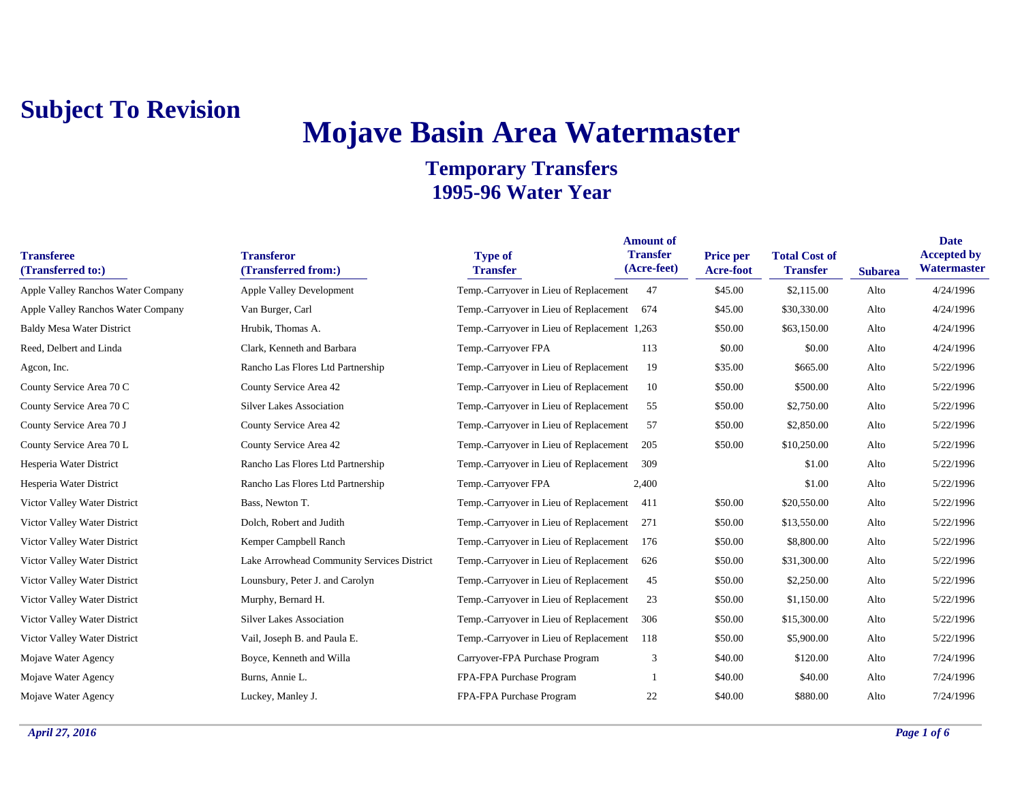# **Mojave Basin Area Watermaster**

| <b>Transferee</b><br>(Transferred to:)    | <b>Transferor</b><br>(Transferred from:)   | <b>Type of</b><br><b>Transfer</b>            | <b>Amount of</b><br><b>Transfer</b><br>(Acre-feet) | Price per<br>Acre-foot | <b>Total Cost of</b><br><b>Transfer</b> | <b>Subarea</b> | <b>Date</b><br><b>Accepted by</b><br>Watermaster |
|-------------------------------------------|--------------------------------------------|----------------------------------------------|----------------------------------------------------|------------------------|-----------------------------------------|----------------|--------------------------------------------------|
| <b>Apple Valley Ranchos Water Company</b> | <b>Apple Valley Development</b>            | Temp.-Carryover in Lieu of Replacement       | 47                                                 | \$45.00                | \$2,115.00                              | Alto           | 4/24/1996                                        |
| Apple Valley Ranchos Water Company        | Van Burger, Carl                           | Temp.-Carryover in Lieu of Replacement       | 674                                                | \$45.00                | \$30,330.00                             | Alto           | 4/24/1996                                        |
| <b>Baldy Mesa Water District</b>          | Hrubik, Thomas A.                          | Temp.-Carryover in Lieu of Replacement 1,263 |                                                    | \$50.00                | \$63,150.00                             | Alto           | 4/24/1996                                        |
| Reed, Delbert and Linda                   | Clark, Kenneth and Barbara                 | Temp.-Carryover FPA                          | 113                                                | \$0.00                 | \$0.00                                  | Alto           | 4/24/1996                                        |
| Agcon, Inc.                               | Rancho Las Flores Ltd Partnership          | Temp.-Carryover in Lieu of Replacement       | 19                                                 | \$35.00                | \$665.00                                | Alto           | 5/22/1996                                        |
| County Service Area 70 C                  | County Service Area 42                     | Temp.-Carryover in Lieu of Replacement       | 10                                                 | \$50.00                | \$500.00                                | Alto           | 5/22/1996                                        |
| County Service Area 70 C                  | <b>Silver Lakes Association</b>            | Temp.-Carryover in Lieu of Replacement       | 55                                                 | \$50.00                | \$2,750.00                              | Alto           | 5/22/1996                                        |
| County Service Area 70 J                  | County Service Area 42                     | Temp.-Carryover in Lieu of Replacement       | -57                                                | \$50.00                | \$2,850.00                              | Alto           | 5/22/1996                                        |
| County Service Area 70 L                  | County Service Area 42                     | Temp.-Carryover in Lieu of Replacement       | 205                                                | \$50.00                | \$10,250.00                             | Alto           | 5/22/1996                                        |
| Hesperia Water District                   | Rancho Las Flores Ltd Partnership          | Temp.-Carryover in Lieu of Replacement       | 309                                                |                        | \$1.00                                  | Alto           | 5/22/1996                                        |
| Hesperia Water District                   | Rancho Las Flores Ltd Partnership          | Temp.-Carryover FPA                          | 2,400                                              |                        | \$1.00                                  | Alto           | 5/22/1996                                        |
| Victor Valley Water District              | Bass, Newton T.                            | Temp.-Carryover in Lieu of Replacement       | 411                                                | \$50.00                | \$20,550.00                             | Alto           | 5/22/1996                                        |
| Victor Valley Water District              | Dolch, Robert and Judith                   | Temp.-Carryover in Lieu of Replacement       | 271                                                | \$50.00                | \$13,550.00                             | Alto           | 5/22/1996                                        |
| Victor Valley Water District              | Kemper Campbell Ranch                      | Temp.-Carryover in Lieu of Replacement       | 176                                                | \$50.00                | \$8,800.00                              | Alto           | 5/22/1996                                        |
| Victor Valley Water District              | Lake Arrowhead Community Services District | Temp.-Carryover in Lieu of Replacement       | 626                                                | \$50.00                | \$31,300.00                             | Alto           | 5/22/1996                                        |
| Victor Valley Water District              | Lounsbury, Peter J. and Carolyn            | Temp.-Carryover in Lieu of Replacement       | 45                                                 | \$50.00                | \$2,250.00                              | Alto           | 5/22/1996                                        |
| Victor Valley Water District              | Murphy, Bernard H.                         | Temp.-Carryover in Lieu of Replacement       | 23                                                 | \$50.00                | \$1,150.00                              | Alto           | 5/22/1996                                        |
| Victor Valley Water District              | <b>Silver Lakes Association</b>            | Temp.-Carryover in Lieu of Replacement       | 306                                                | \$50.00                | \$15,300.00                             | Alto           | 5/22/1996                                        |
| Victor Valley Water District              | Vail, Joseph B. and Paula E.               | Temp.-Carryover in Lieu of Replacement       | 118                                                | \$50.00                | \$5,900.00                              | Alto           | 5/22/1996                                        |
| Mojave Water Agency                       | Boyce, Kenneth and Willa                   | Carryover-FPA Purchase Program               | 3                                                  | \$40.00                | \$120.00                                | Alto           | 7/24/1996                                        |
| Mojave Water Agency                       | Burns, Annie L.                            | FPA-FPA Purchase Program                     |                                                    | \$40.00                | \$40.00                                 | Alto           | 7/24/1996                                        |
| Mojave Water Agency                       | Luckey, Manley J.                          | FPA-FPA Purchase Program                     | 22                                                 | \$40.00                | \$880.00                                | Alto           | 7/24/1996                                        |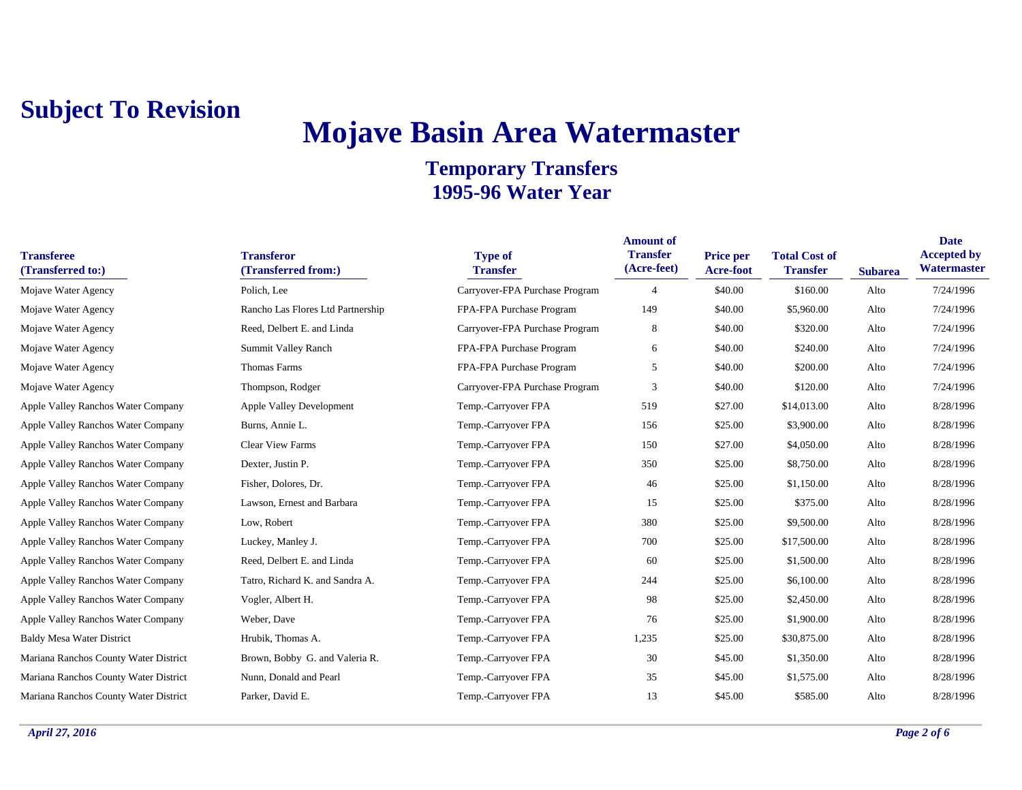# **Mojave Basin Area Watermaster**

| <b>Transferee</b><br>(Transferred to:) | <b>Transferor</b><br>(Transferred from:) | <b>Type of</b><br><b>Transfer</b> | <b>Amount of</b><br><b>Transfer</b><br>(Acre-feet) | <b>Price per</b><br><b>Acre-foot</b> | <b>Total Cost of</b><br><b>Transfer</b> | <b>Subarea</b> | <b>Date</b><br><b>Accepted by</b><br><b>Watermaster</b> |
|----------------------------------------|------------------------------------------|-----------------------------------|----------------------------------------------------|--------------------------------------|-----------------------------------------|----------------|---------------------------------------------------------|
| Mojave Water Agency                    | Polich, Lee                              | Carryover-FPA Purchase Program    | $\overline{4}$                                     | \$40.00                              | \$160.00                                | Alto           | 7/24/1996                                               |
| Mojave Water Agency                    | Rancho Las Flores Ltd Partnership        | FPA-FPA Purchase Program          | 149                                                | \$40.00                              | \$5,960.00                              | Alto           | 7/24/1996                                               |
| Mojave Water Agency                    | Reed, Delbert E. and Linda               | Carryover-FPA Purchase Program    | 8                                                  | \$40.00                              | \$320.00                                | Alto           | 7/24/1996                                               |
| Mojave Water Agency                    | Summit Valley Ranch                      | FPA-FPA Purchase Program          | 6                                                  | \$40.00                              | \$240.00                                | Alto           | 7/24/1996                                               |
| Mojave Water Agency                    | Thomas Farms                             | FPA-FPA Purchase Program          | 5                                                  | \$40.00                              | \$200.00                                | Alto           | 7/24/1996                                               |
| Mojave Water Agency                    | Thompson, Rodger                         | Carryover-FPA Purchase Program    | 3                                                  | \$40.00                              | \$120.00                                | Alto           | 7/24/1996                                               |
| Apple Valley Ranchos Water Company     | Apple Valley Development                 | Temp.-Carryover FPA               | 519                                                | \$27.00                              | \$14,013.00                             | Alto           | 8/28/1996                                               |
| Apple Valley Ranchos Water Company     | Burns, Annie L.                          | Temp.-Carryover FPA               | 156                                                | \$25.00                              | \$3,900.00                              | Alto           | 8/28/1996                                               |
| Apple Valley Ranchos Water Company     | <b>Clear View Farms</b>                  | Temp.-Carryover FPA               | 150                                                | \$27.00                              | \$4,050.00                              | Alto           | 8/28/1996                                               |
| Apple Valley Ranchos Water Company     | Dexter, Justin P.                        | Temp.-Carryover FPA               | 350                                                | \$25.00                              | \$8,750.00                              | Alto           | 8/28/1996                                               |
| Apple Valley Ranchos Water Company     | Fisher, Dolores, Dr.                     | Temp.-Carryover FPA               | 46                                                 | \$25.00                              | \$1,150.00                              | Alto           | 8/28/1996                                               |
| Apple Valley Ranchos Water Company     | Lawson, Ernest and Barbara               | Temp.-Carryover FPA               | 15                                                 | \$25.00                              | \$375.00                                | Alto           | 8/28/1996                                               |
| Apple Valley Ranchos Water Company     | Low, Robert                              | Temp.-Carryover FPA               | 380                                                | \$25.00                              | \$9,500.00                              | Alto           | 8/28/1996                                               |
| Apple Valley Ranchos Water Company     | Luckey, Manley J.                        | Temp.-Carryover FPA               | 700                                                | \$25.00                              | \$17,500.00                             | Alto           | 8/28/1996                                               |
| Apple Valley Ranchos Water Company     | Reed, Delbert E. and Linda               | Temp.-Carryover FPA               | 60                                                 | \$25.00                              | \$1,500.00                              | Alto           | 8/28/1996                                               |
| Apple Valley Ranchos Water Company     | Tatro, Richard K. and Sandra A.          | Temp.-Carryover FPA               | 244                                                | \$25.00                              | \$6,100.00                              | Alto           | 8/28/1996                                               |
| Apple Valley Ranchos Water Company     | Vogler, Albert H.                        | Temp.-Carryover FPA               | 98                                                 | \$25.00                              | \$2,450.00                              | Alto           | 8/28/1996                                               |
| Apple Valley Ranchos Water Company     | Weber, Dave                              | Temp.-Carryover FPA               | 76                                                 | \$25.00                              | \$1,900.00                              | Alto           | 8/28/1996                                               |
| <b>Baldy Mesa Water District</b>       | Hrubik, Thomas A.                        | Temp.-Carryover FPA               | 1,235                                              | \$25.00                              | \$30,875.00                             | Alto           | 8/28/1996                                               |
| Mariana Ranchos County Water District  | Brown, Bobby G. and Valeria R.           | Temp.-Carryover FPA               | 30                                                 | \$45.00                              | \$1,350.00                              | Alto           | 8/28/1996                                               |
| Mariana Ranchos County Water District  | Nunn, Donald and Pearl                   | Temp.-Carryover FPA               | 35                                                 | \$45.00                              | \$1,575.00                              | Alto           | 8/28/1996                                               |
| Mariana Ranchos County Water District  | Parker, David E.                         | Temp.-Carryover FPA               | 13                                                 | \$45.00                              | \$585.00                                | Alto           | 8/28/1996                                               |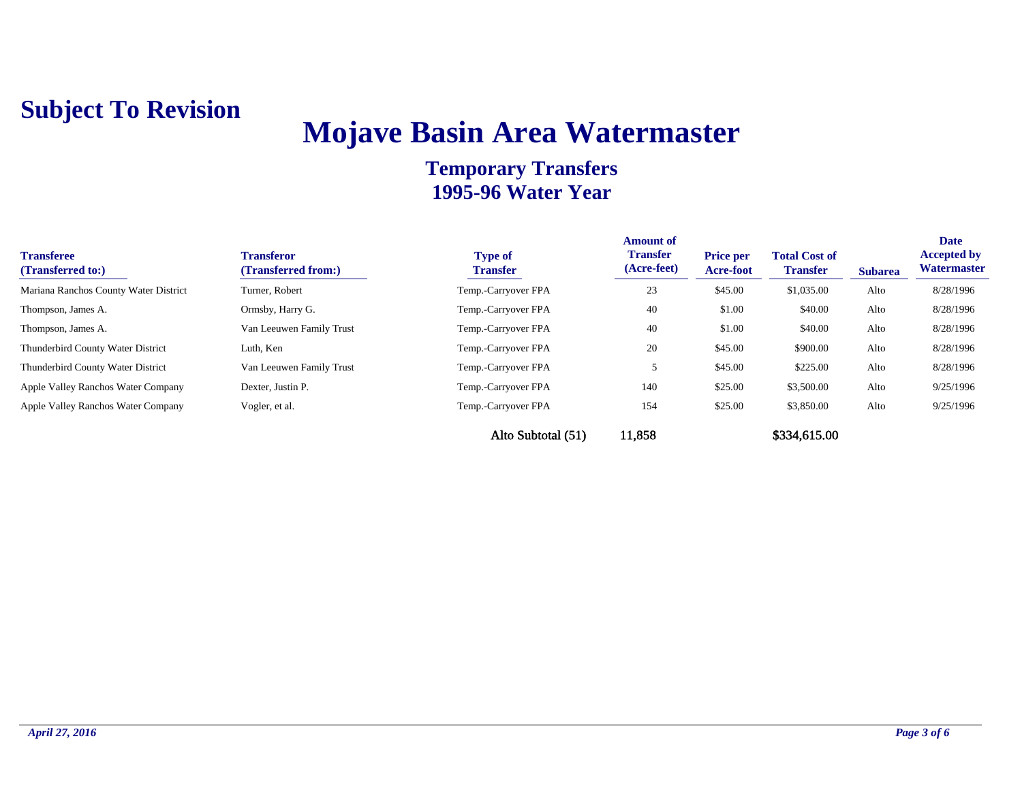# **Mojave Basin Area Watermaster**

| <b>Transferee</b><br>(Transferred to:) | <b>Transferor</b><br>(Transferred from:) | <b>Type of</b><br><b>Transfer</b> | <b>Amount of</b><br><b>Transfer</b><br>(Acre-feet) | <b>Price per</b><br>Acre-foot | <b>Total Cost of</b><br><b>Transfer</b> | <b>Subarea</b> | <b>Date</b><br><b>Accepted by</b><br>Watermaster |
|----------------------------------------|------------------------------------------|-----------------------------------|----------------------------------------------------|-------------------------------|-----------------------------------------|----------------|--------------------------------------------------|
| Mariana Ranchos County Water District  | Turner, Robert                           | Temp.-Carryover FPA               | 23                                                 | \$45.00                       | \$1,035.00                              | Alto           | 8/28/1996                                        |
| Thompson, James A.                     | Ormsby, Harry G.                         | Temp.-Carryover FPA               | 40                                                 | \$1.00                        | \$40.00                                 | Alto           | 8/28/1996                                        |
| Thompson, James A.                     | Van Leeuwen Family Trust                 | Temp.-Carryover FPA               | 40                                                 | \$1.00                        | \$40.00                                 | Alto           | 8/28/1996                                        |
| Thunderbird County Water District      | Luth, Ken                                | Temp.-Carryover FPA               | 20                                                 | \$45.00                       | \$900.00                                | Alto           | 8/28/1996                                        |
| Thunderbird County Water District      | Van Leeuwen Family Trust                 | Temp.-Carryover FPA               |                                                    | \$45.00                       | \$225.00                                | Alto           | 8/28/1996                                        |
| Apple Valley Ranchos Water Company     | Dexter, Justin P.                        | Temp.-Carryover FPA               | 140                                                | \$25.00                       | \$3,500.00                              | Alto           | 9/25/1996                                        |
| Apple Valley Ranchos Water Company     | Vogler, et al.                           | Temp.-Carryover FPA               | 154                                                | \$25.00                       | \$3,850.00                              | Alto           | 9/25/1996                                        |
|                                        |                                          | Alto Subtotal (51)                | 11,858                                             |                               | \$334,615.00                            |                |                                                  |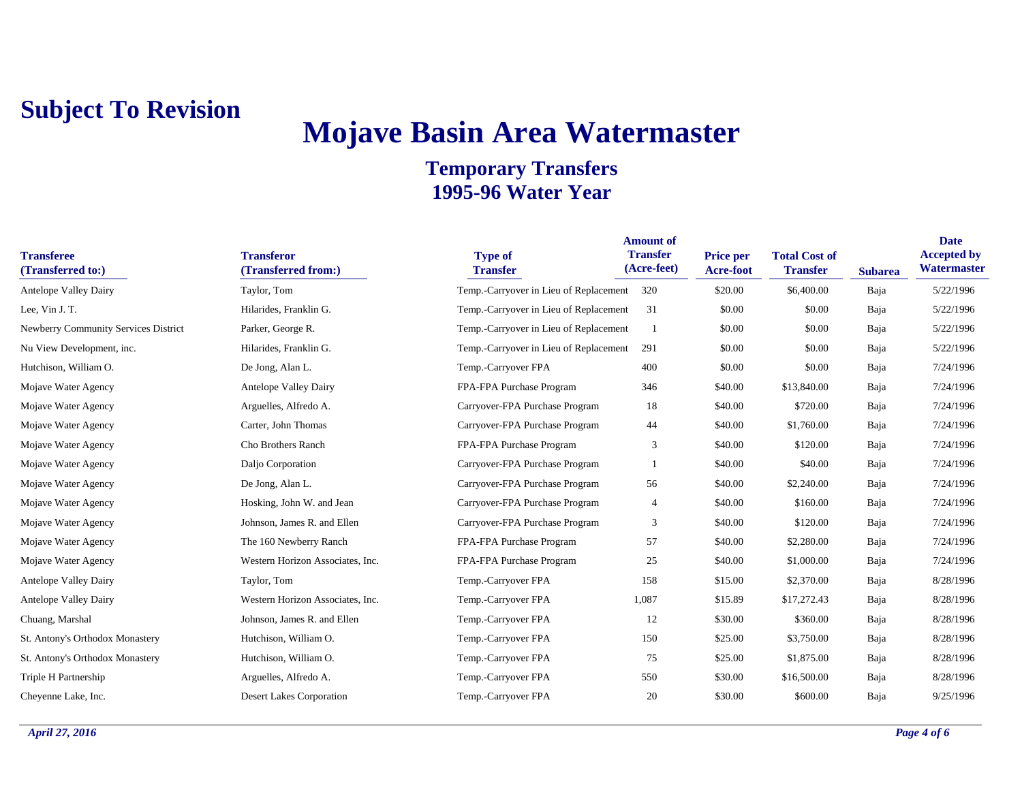# **Mojave Basin Area Watermaster**

| <b>Transferee</b><br>(Transferred to:)      | <b>Transferor</b><br>(Transferred from:) | <b>Type of</b><br><b>Transfer</b>      | <b>Amount of</b><br><b>Transfer</b><br>(Acre-feet) | Price per<br><b>Acre-foot</b> | <b>Total Cost of</b><br><b>Transfer</b> | <b>Subarea</b> | <b>Date</b><br><b>Accepted by</b><br>Watermaster |
|---------------------------------------------|------------------------------------------|----------------------------------------|----------------------------------------------------|-------------------------------|-----------------------------------------|----------------|--------------------------------------------------|
| <b>Antelope Valley Dairy</b>                | Taylor, Tom                              | Temp.-Carryover in Lieu of Replacement | 320                                                | \$20.00                       | \$6,400.00                              | Baja           | 5/22/1996                                        |
| Lee, Vin J. T.                              | Hilarides, Franklin G.                   | Temp.-Carryover in Lieu of Replacement | 31                                                 | \$0.00                        | \$0.00                                  | Baja           | 5/22/1996                                        |
| <b>Newberry Community Services District</b> | Parker, George R.                        | Temp.-Carryover in Lieu of Replacement |                                                    | \$0.00                        | \$0.00                                  | Baja           | 5/22/1996                                        |
| Nu View Development, inc.                   | Hilarides, Franklin G.                   | Temp.-Carryover in Lieu of Replacement | 291                                                | \$0.00                        | \$0.00                                  | Baja           | 5/22/1996                                        |
| Hutchison, William O.                       | De Jong, Alan L.                         | Temp.-Carryover FPA                    | 400                                                | \$0.00                        | \$0.00                                  | Baja           | 7/24/1996                                        |
| Mojave Water Agency                         | <b>Antelope Valley Dairy</b>             | FPA-FPA Purchase Program               | 346                                                | \$40.00                       | \$13,840.00                             | Baja           | 7/24/1996                                        |
| Mojave Water Agency                         | Arguelles, Alfredo A.                    | Carryover-FPA Purchase Program         | 18                                                 | \$40.00                       | \$720.00                                | Baja           | 7/24/1996                                        |
| Mojave Water Agency                         | Carter, John Thomas                      | Carryover-FPA Purchase Program         | 44                                                 | \$40.00                       | \$1,760.00                              | Baja           | 7/24/1996                                        |
| Mojave Water Agency                         | Cho Brothers Ranch                       | FPA-FPA Purchase Program               | 3                                                  | \$40.00                       | \$120.00                                | Baja           | 7/24/1996                                        |
| Mojave Water Agency                         | Daljo Corporation                        | Carryover-FPA Purchase Program         |                                                    | \$40.00                       | \$40.00                                 | Baja           | 7/24/1996                                        |
| Mojave Water Agency                         | De Jong, Alan L.                         | Carryover-FPA Purchase Program         | 56                                                 | \$40.00                       | \$2,240.00                              | Baja           | 7/24/1996                                        |
| Mojave Water Agency                         | Hosking, John W. and Jean                | Carryover-FPA Purchase Program         | 4                                                  | \$40.00                       | \$160.00                                | Baja           | 7/24/1996                                        |
| Mojave Water Agency                         | Johnson, James R. and Ellen              | Carryover-FPA Purchase Program         | 3                                                  | \$40.00                       | \$120.00                                | Baja           | 7/24/1996                                        |
| Mojave Water Agency                         | The 160 Newberry Ranch                   | FPA-FPA Purchase Program               | 57                                                 | \$40.00                       | \$2,280.00                              | Baja           | 7/24/1996                                        |
| Mojave Water Agency                         | Western Horizon Associates, Inc.         | FPA-FPA Purchase Program               | 25                                                 | \$40.00                       | \$1,000.00                              | Baja           | 7/24/1996                                        |
| <b>Antelope Valley Dairy</b>                | Taylor, Tom                              | Temp.-Carryover FPA                    | 158                                                | \$15.00                       | \$2,370.00                              | Baja           | 8/28/1996                                        |
| <b>Antelope Valley Dairy</b>                | Western Horizon Associates, Inc.         | Temp.-Carryover FPA                    | 1,087                                              | \$15.89                       | \$17,272.43                             | Baja           | 8/28/1996                                        |
| Chuang, Marshal                             | Johnson, James R. and Ellen              | Temp.-Carryover FPA                    | 12                                                 | \$30.00                       | \$360.00                                | Baja           | 8/28/1996                                        |
| St. Antony's Orthodox Monastery             | Hutchison, William O.                    | Temp.-Carryover FPA                    | 150                                                | \$25.00                       | \$3,750.00                              | Baja           | 8/28/1996                                        |
| St. Antony's Orthodox Monastery             | Hutchison, William O.                    | Temp.-Carryover FPA                    | 75                                                 | \$25.00                       | \$1,875.00                              | Baja           | 8/28/1996                                        |
| Triple H Partnership                        | Arguelles, Alfredo A.                    | Temp.-Carryover FPA                    | 550                                                | \$30.00                       | \$16,500.00                             | Baja           | 8/28/1996                                        |
| Cheyenne Lake, Inc.                         | <b>Desert Lakes Corporation</b>          | Temp.-Carryover FPA                    | 20                                                 | \$30.00                       | \$600.00                                | Baja           | 9/25/1996                                        |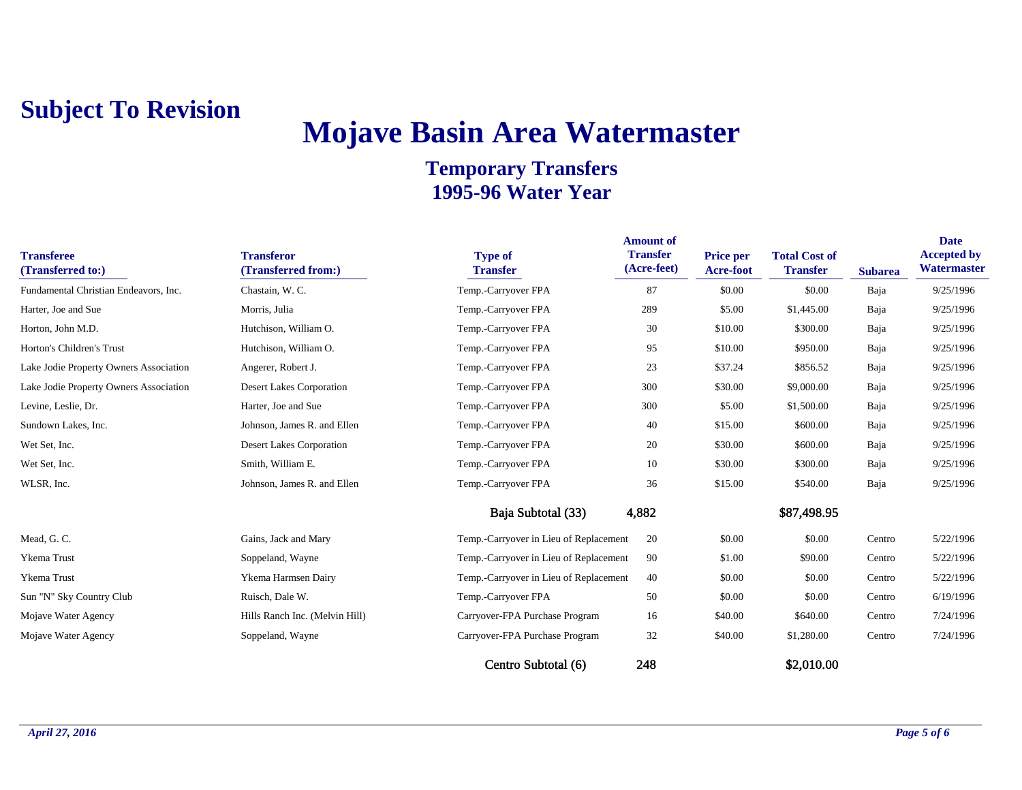# **Mojave Basin Area Watermaster**

| <b>Transferee</b><br>(Transferred to:) | <b>Transferor</b><br>(Transferred from:) | <b>Type of</b><br><b>Transfer</b>      | <b>Amount of</b><br><b>Transfer</b><br>(Acre-feet) | Price per<br>Acre-foot | <b>Total Cost of</b><br><b>Transfer</b> | <b>Subarea</b> | <b>Date</b><br><b>Accepted by</b><br>Watermaster |
|----------------------------------------|------------------------------------------|----------------------------------------|----------------------------------------------------|------------------------|-----------------------------------------|----------------|--------------------------------------------------|
| Fundamental Christian Endeavors, Inc.  | Chastain, W. C.                          | Temp.-Carryover FPA                    | 87                                                 | \$0.00                 | \$0.00                                  | Baja           | 9/25/1996                                        |
| Harter, Joe and Sue                    | Morris, Julia                            | Temp.-Carryover FPA                    | 289                                                | \$5.00                 | \$1,445.00                              | Baja           | 9/25/1996                                        |
| Horton, John M.D.                      | Hutchison, William O.                    | Temp.-Carryover FPA                    | 30                                                 | \$10.00                | \$300.00                                | Baja           | 9/25/1996                                        |
| Horton's Children's Trust              | Hutchison, William O.                    | Temp.-Carryover FPA                    | 95                                                 | \$10.00                | \$950.00                                | Baja           | 9/25/1996                                        |
| Lake Jodie Property Owners Association | Angerer, Robert J.                       | Temp.-Carryover FPA                    | 23                                                 | \$37.24                | \$856.52                                | Baja           | 9/25/1996                                        |
| Lake Jodie Property Owners Association | <b>Desert Lakes Corporation</b>          | Temp.-Carryover FPA                    | 300                                                | \$30.00                | \$9,000.00                              | Baja           | 9/25/1996                                        |
| Levine, Leslie, Dr.                    | Harter, Joe and Sue                      | Temp.-Carryover FPA                    | 300                                                | \$5.00                 | \$1,500.00                              | Baja           | 9/25/1996                                        |
| Sundown Lakes, Inc.                    | Johnson, James R. and Ellen              | Temp.-Carryover FPA                    | 40                                                 | \$15.00                | \$600.00                                | Baja           | 9/25/1996                                        |
| Wet Set, Inc.                          | Desert Lakes Corporation                 | Temp.-Carryover FPA                    | 20                                                 | \$30.00                | \$600.00                                | Baja           | 9/25/1996                                        |
| Wet Set, Inc.                          | Smith, William E.                        | Temp.-Carryover FPA                    | 10                                                 | \$30.00                | \$300.00                                | Baja           | 9/25/1996                                        |
| WLSR, Inc.                             | Johnson, James R. and Ellen              | Temp.-Carryover FPA                    | 36                                                 | \$15.00                | \$540.00                                | Baja           | 9/25/1996                                        |
|                                        |                                          | Baja Subtotal (33)                     | 4,882                                              |                        | \$87,498.95                             |                |                                                  |
| Mead, G. C.                            | Gains, Jack and Mary                     | Temp.-Carryover in Lieu of Replacement | 20                                                 | \$0.00                 | \$0.00                                  | Centro         | 5/22/1996                                        |
| Ykema Trust                            | Soppeland, Wayne                         | Temp.-Carryover in Lieu of Replacement | 90                                                 | \$1.00                 | \$90.00                                 | Centro         | 5/22/1996                                        |
| Ykema Trust                            | Ykema Harmsen Dairy                      | Temp.-Carryover in Lieu of Replacement | 40                                                 | \$0.00                 | \$0.00                                  | Centro         | 5/22/1996                                        |
| Sun "N" Sky Country Club               | Ruisch, Dale W.                          | Temp.-Carryover FPA                    | 50                                                 | \$0.00                 | \$0.00                                  | Centro         | 6/19/1996                                        |
| Mojave Water Agency                    | Hills Ranch Inc. (Melvin Hill)           | Carryover-FPA Purchase Program         | 16                                                 | \$40.00                | \$640.00                                | Centro         | 7/24/1996                                        |
| Mojave Water Agency                    | Soppeland, Wayne                         | Carryover-FPA Purchase Program         | 32                                                 | \$40.00                | \$1,280.00                              | Centro         | 7/24/1996                                        |
|                                        |                                          | Centro Subtotal (6)                    | 248                                                |                        | \$2,010.00                              |                |                                                  |